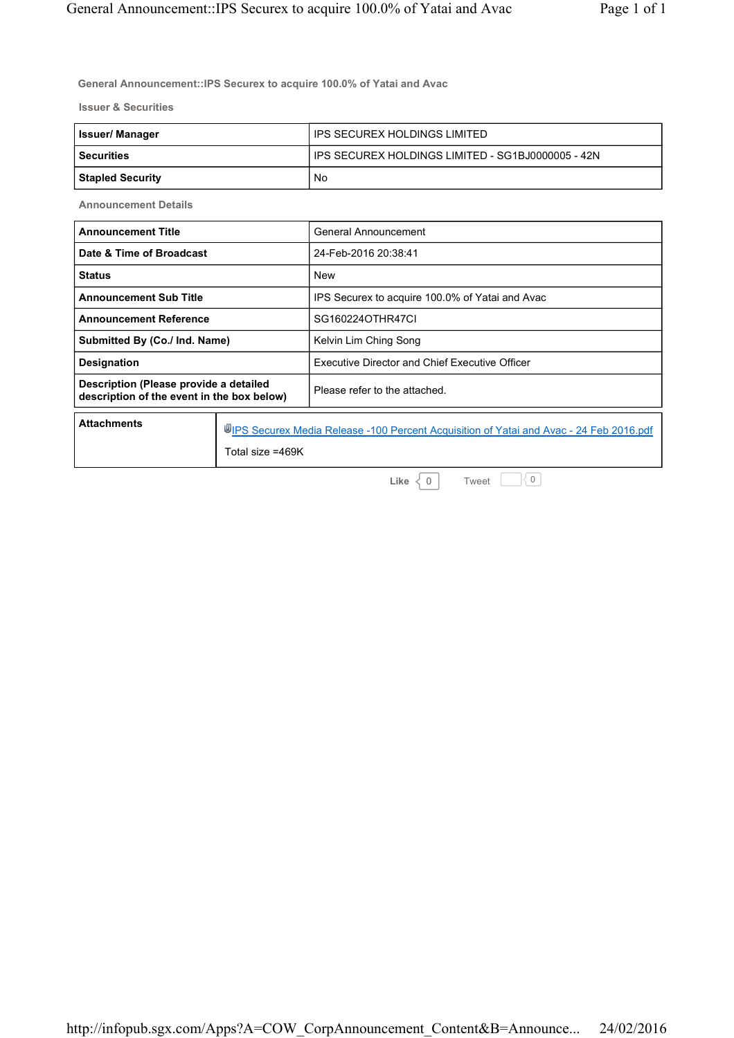**General Announcement::IPS Securex to acquire 100.0% of Yatai and Avac**

**Issuer & Securities**

| <b>Issuer/Manager</b>   | ' IPS SECUREX HOLDINGS LIMITED                    |
|-------------------------|---------------------------------------------------|
| l Securities            | IPS SECUREX HOLDINGS LIMITED - SG1BJ0000005 - 42N |
| <b>Stapled Security</b> | No                                                |

**Announcement Details**

| <b>Announcement Title</b>                                                            |                                                                                                            | General Announcement                            |
|--------------------------------------------------------------------------------------|------------------------------------------------------------------------------------------------------------|-------------------------------------------------|
| Date & Time of Broadcast                                                             |                                                                                                            | 24-Feb-2016 20:38:41                            |
| <b>Status</b>                                                                        |                                                                                                            | <b>New</b>                                      |
| <b>Announcement Sub Title</b>                                                        |                                                                                                            | IPS Securex to acquire 100.0% of Yatai and Avac |
| <b>Announcement Reference</b>                                                        |                                                                                                            | SG160224OTHR47CI                                |
| Submitted By (Co./ Ind. Name)                                                        |                                                                                                            | Kelvin Lim Ching Song                           |
| Designation                                                                          |                                                                                                            | Executive Director and Chief Executive Officer  |
| Description (Please provide a detailed<br>description of the event in the box below) |                                                                                                            | Please refer to the attached.                   |
| <b>Attachments</b>                                                                   | UPS Securex Media Release -100 Percent Acquisition of Yatai and Avac - 24 Feb 2016.pdf<br>Total size =469K |                                                 |

**Like**  $\begin{bmatrix} 0 \end{bmatrix}$ 

Tweet  $\Box$  0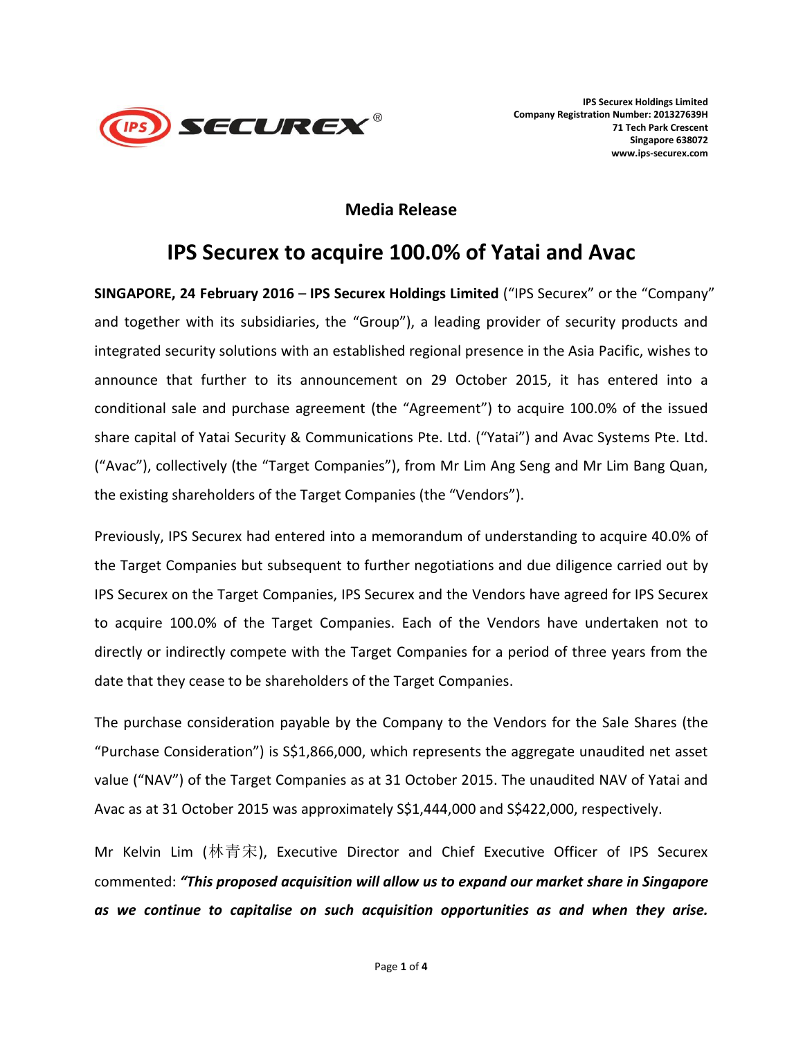

### **Media Release**

# **IPS Securex to acquire 100.0% of Yatai and Avac**

**SINGAPORE, 24 February 2016** – **IPS Securex Holdings Limited** ("IPS Securex" or the "Company" and together with its subsidiaries, the "Group"), a leading provider of security products and integrated security solutions with an established regional presence in the Asia Pacific, wishes to announce that further to its announcement on 29 October 2015, it has entered into a conditional sale and purchase agreement (the "Agreement") to acquire 100.0% of the issued share capital of Yatai Security & Communications Pte. Ltd. ("Yatai") and Avac Systems Pte. Ltd. ("Avac"), collectively (the "Target Companies"), from Mr Lim Ang Seng and Mr Lim Bang Quan, the existing shareholders of the Target Companies (the "Vendors").

Previously, IPS Securex had entered into a memorandum of understanding to acquire 40.0% of the Target Companies but subsequent to further negotiations and due diligence carried out by IPS Securex on the Target Companies, IPS Securex and the Vendors have agreed for IPS Securex to acquire 100.0% of the Target Companies. Each of the Vendors have undertaken not to directly or indirectly compete with the Target Companies for a period of three years from the date that they cease to be shareholders of the Target Companies.

The purchase consideration payable by the Company to the Vendors for the Sale Shares (the "Purchase Consideration") is S\$1,866,000, which represents the aggregate unaudited net asset value ("NAV") of the Target Companies as at 31 October 2015. The unaudited NAV of Yatai and Avac as at 31 October 2015 was approximately S\$1,444,000 and S\$422,000, respectively.

Mr Kelvin Lim (林青宋), Executive Director and Chief Executive Officer of IPS Securex commented: *"This proposed acquisition will allow us to expand our market share in Singapore as we continue to capitalise on such acquisition opportunities as and when they arise.*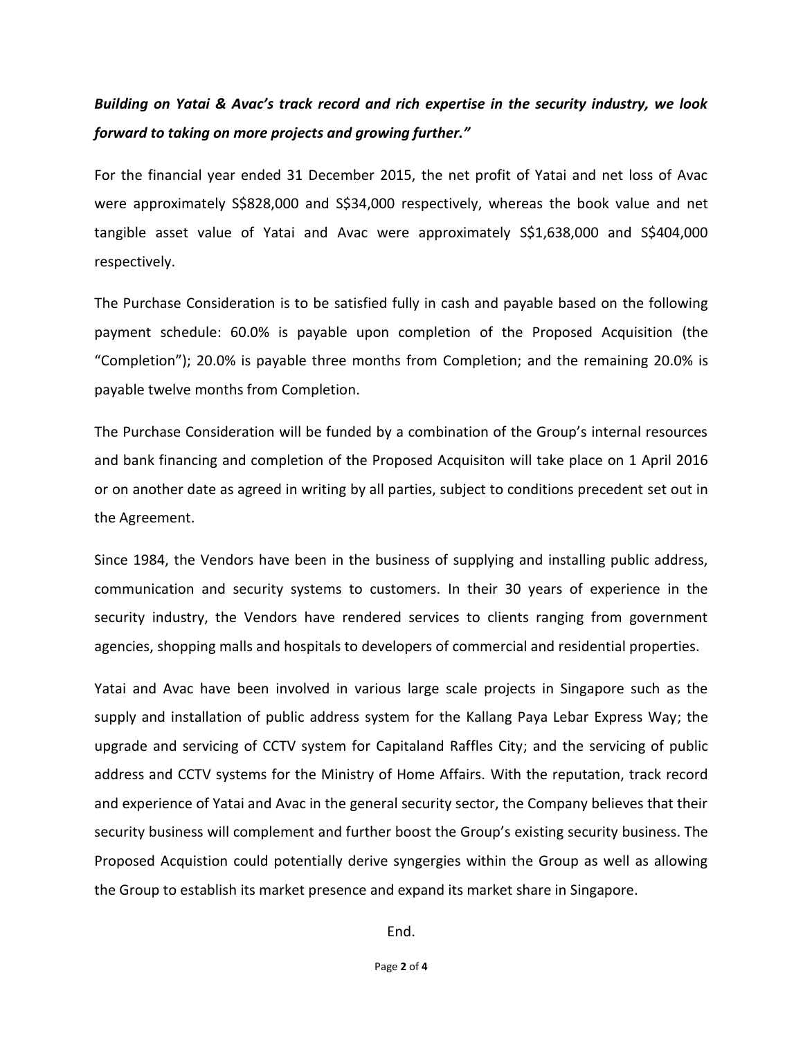## *Building on Yatai & Avac's track record and rich expertise in the security industry, we look forward to taking on more projects and growing further."*

For the financial year ended 31 December 2015, the net profit of Yatai and net loss of Avac were approximately S\$828,000 and S\$34,000 respectively, whereas the book value and net tangible asset value of Yatai and Avac were approximately S\$1,638,000 and S\$404,000 respectively.

The Purchase Consideration is to be satisfied fully in cash and payable based on the following payment schedule: 60.0% is payable upon completion of the Proposed Acquisition (the "Completion"); 20.0% is payable three months from Completion; and the remaining 20.0% is payable twelve months from Completion.

The Purchase Consideration will be funded by a combination of the Group's internal resources and bank financing and completion of the Proposed Acquisiton will take place on 1 April 2016 or on another date as agreed in writing by all parties, subject to conditions precedent set out in the Agreement.

Since 1984, the Vendors have been in the business of supplying and installing public address, communication and security systems to customers. In their 30 years of experience in the security industry, the Vendors have rendered services to clients ranging from government agencies, shopping malls and hospitals to developers of commercial and residential properties.

Yatai and Avac have been involved in various large scale projects in Singapore such as the supply and installation of public address system for the Kallang Paya Lebar Express Way; the upgrade and servicing of CCTV system for Capitaland Raffles City; and the servicing of public address and CCTV systems for the Ministry of Home Affairs. With the reputation, track record and experience of Yatai and Avac in the general security sector, the Company believes that their security business will complement and further boost the Group's existing security business. The Proposed Acquistion could potentially derive syngergies within the Group as well as allowing the Group to establish its market presence and expand its market share in Singapore.

End.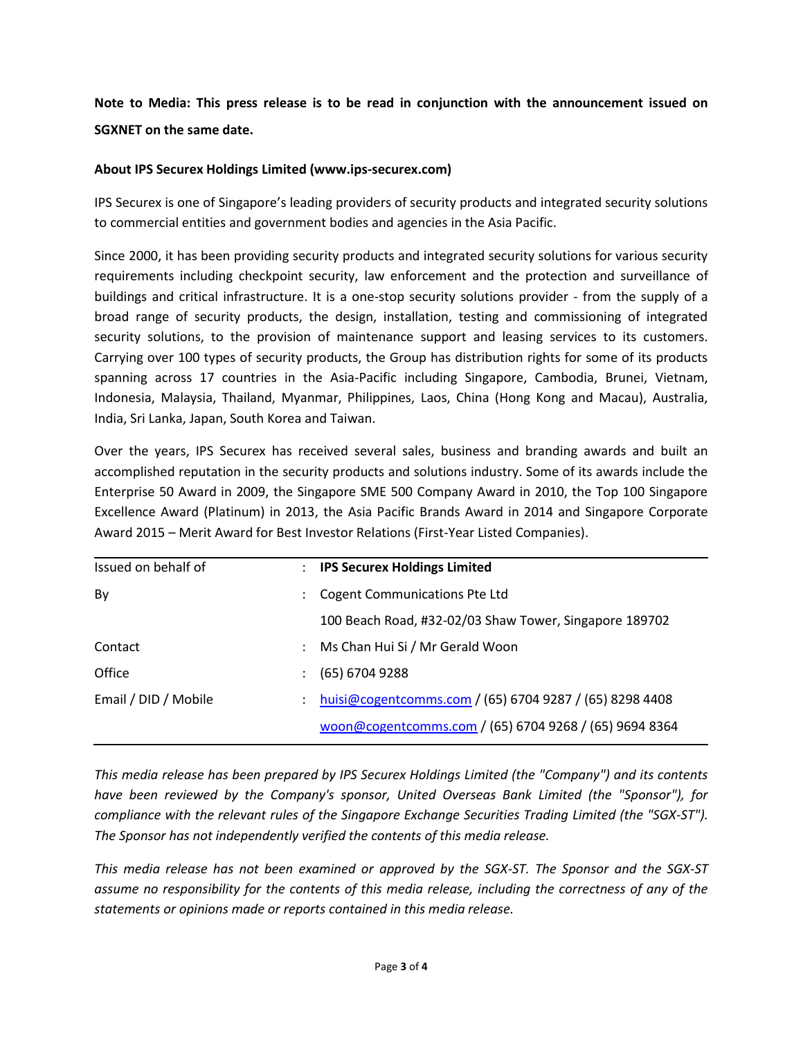### **Note to Media: This press release is to be read in conjunction with the announcement issued on SGXNET on the same date.**

#### **About IPS Securex Holdings Limited (www.ips-securex.com)**

IPS Securex is one of Singapore's leading providers of security products and integrated security solutions to commercial entities and government bodies and agencies in the Asia Pacific.

Since 2000, it has been providing security products and integrated security solutions for various security requirements including checkpoint security, law enforcement and the protection and surveillance of buildings and critical infrastructure. It is a one-stop security solutions provider - from the supply of a broad range of security products, the design, installation, testing and commissioning of integrated security solutions, to the provision of maintenance support and leasing services to its customers. Carrying over 100 types of security products, the Group has distribution rights for some of its products spanning across 17 countries in the Asia-Pacific including Singapore, Cambodia, Brunei, Vietnam, Indonesia, Malaysia, Thailand, Myanmar, Philippines, Laos, China (Hong Kong and Macau), Australia, India, Sri Lanka, Japan, South Korea and Taiwan.

Over the years, IPS Securex has received several sales, business and branding awards and built an accomplished reputation in the security products and solutions industry. Some of its awards include the Enterprise 50 Award in 2009, the Singapore SME 500 Company Award in 2010, the Top 100 Singapore Excellence Award (Platinum) in 2013, the Asia Pacific Brands Award in 2014 and Singapore Corporate Award 2015 – Merit Award for Best Investor Relations (First-Year Listed Companies).

| Issued on behalf of  | $\mathbb{R}^n$       | <b>IPS Securex Holdings Limited</b>                     |
|----------------------|----------------------|---------------------------------------------------------|
| By                   |                      | <b>Cogent Communications Pte Ltd</b>                    |
|                      |                      | 100 Beach Road, #32-02/03 Shaw Tower, Singapore 189702  |
| Contact              | $\ddot{\phantom{0}}$ | Ms Chan Hui Si / Mr Gerald Woon                         |
| Office               |                      | $(65)$ 6704 9288                                        |
| Email / DID / Mobile |                      | huisi@cogentcomms.com / (65) 6704 9287 / (65) 8298 4408 |
|                      |                      | woon@cogentcomms.com / (65) 6704 9268 / (65) 9694 8364  |
|                      |                      |                                                         |

*This media release has been prepared by IPS Securex Holdings Limited (the "Company") and its contents have been reviewed by the Company's sponsor, United Overseas Bank Limited (the "Sponsor"), for compliance with the relevant rules of the Singapore Exchange Securities Trading Limited (the "SGX-ST"). The Sponsor has not independently verified the contents of this media release.*

*This media release has not been examined or approved by the SGX-ST. The Sponsor and the SGX-ST assume no responsibility for the contents of this media release, including the correctness of any of the statements or opinions made or reports contained in this media release.*